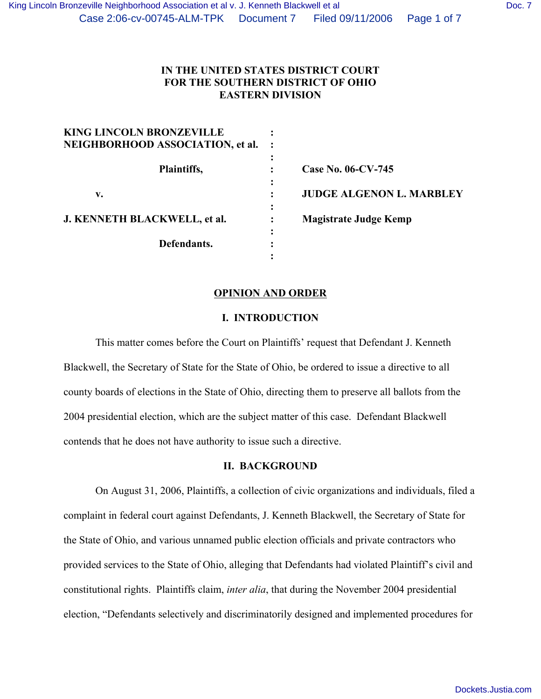| <b>KING LINCOLN BRONZEVILLE</b><br>NEIGHBORHOOD ASSOCIATION, et al. |                                 |
|---------------------------------------------------------------------|---------------------------------|
| Plaintiffs,<br>$\bullet$                                            | Case No. 06-CV-745              |
| $\bullet$<br>v.                                                     | <b>JUDGE ALGENON L. MARBLEY</b> |
| J. KENNETH BLACKWELL, et al.<br>٠                                   | <b>Magistrate Judge Kemp</b>    |
| Defendants.                                                         |                                 |

#### **OPINION AND ORDER**

#### **I. INTRODUCTION**

This matter comes before the Court on Plaintiffs' request that Defendant J. Kenneth Blackwell, the Secretary of State for the State of Ohio, be ordered to issue a directive to all county boards of elections in the State of Ohio, directing them to preserve all ballots from the 2004 presidential election, which are the subject matter of this case. Defendant Blackwell contends that he does not have authority to issue such a directive.

# **II. BACKGROUND**

On August 31, 2006, Plaintiffs, a collection of civic organizations and individuals, filed a complaint in federal court against Defendants, J. Kenneth Blackwell, the Secretary of State for the State of Ohio, and various unnamed public election officials and private contractors who provided services to the State of Ohio, alleging that Defendants had violated Plaintiff's civil and constitutional rights. Plaintiffs claim, *inter alia*, that during the November 2004 presidential election, "Defendants selectively and discriminatorily designed and implemented procedures for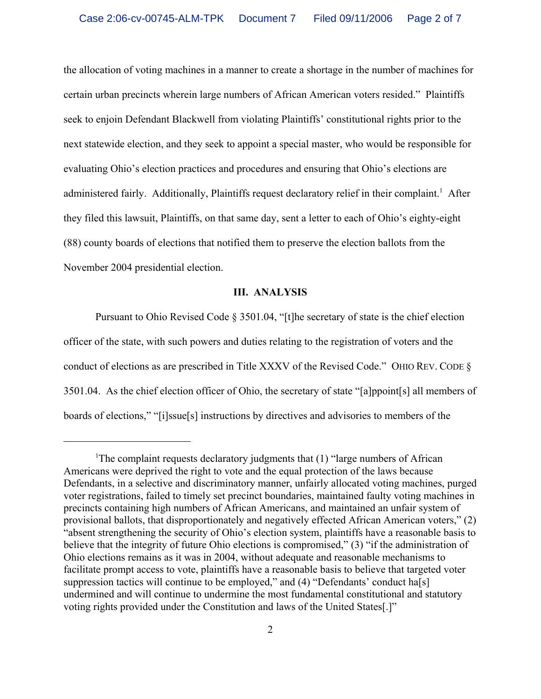the allocation of voting machines in a manner to create a shortage in the number of machines for certain urban precincts wherein large numbers of African American voters resided." Plaintiffs seek to enjoin Defendant Blackwell from violating Plaintiffs' constitutional rights prior to the next statewide election, and they seek to appoint a special master, who would be responsible for evaluating Ohio's election practices and procedures and ensuring that Ohio's elections are administered fairly. Additionally, Plaintiffs request declaratory relief in their complaint.<sup>1</sup> After they filed this lawsuit, Plaintiffs, on that same day, sent a letter to each of Ohio's eighty-eight (88) county boards of elections that notified them to preserve the election ballots from the November 2004 presidential election.

# **III. ANALYSIS**

Pursuant to Ohio Revised Code § 3501.04, "[t]he secretary of state is the chief election officer of the state, with such powers and duties relating to the registration of voters and the conduct of elections as are prescribed in Title XXXV of the Revised Code." OHIO REV. CODE § 3501.04. As the chief election officer of Ohio, the secretary of state "[a]ppoint[s] all members of boards of elections," "[i]ssue[s] instructions by directives and advisories to members of the

<sup>&</sup>lt;sup>1</sup>The complaint requests declaratory judgments that (1) "large numbers of African Americans were deprived the right to vote and the equal protection of the laws because Defendants, in a selective and discriminatory manner, unfairly allocated voting machines, purged voter registrations, failed to timely set precinct boundaries, maintained faulty voting machines in precincts containing high numbers of African Americans, and maintained an unfair system of provisional ballots, that disproportionately and negatively effected African American voters," (2) "absent strengthening the security of Ohio's election system, plaintiffs have a reasonable basis to believe that the integrity of future Ohio elections is compromised," (3) "if the administration of Ohio elections remains as it was in 2004, without adequate and reasonable mechanisms to facilitate prompt access to vote, plaintiffs have a reasonable basis to believe that targeted voter suppression tactics will continue to be employed," and (4) "Defendants' conduct ha[s] undermined and will continue to undermine the most fundamental constitutional and statutory voting rights provided under the Constitution and laws of the United States[.]"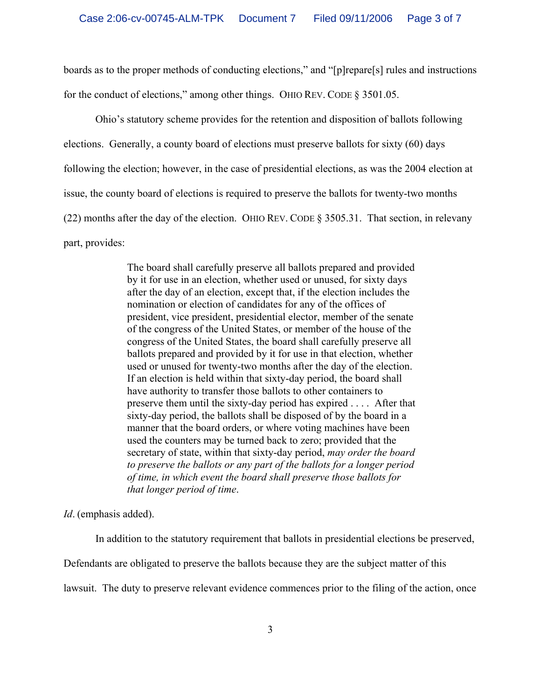boards as to the proper methods of conducting elections," and "[p]repare[s] rules and instructions for the conduct of elections," among other things. OHIO REV. CODE § 3501.05.

Ohio's statutory scheme provides for the retention and disposition of ballots following elections. Generally, a county board of elections must preserve ballots for sixty (60) days following the election; however, in the case of presidential elections, as was the 2004 election at issue, the county board of elections is required to preserve the ballots for twenty-two months (22) months after the day of the election. OHIO REV. CODE § 3505.31. That section, in relevany part, provides:

> The board shall carefully preserve all ballots prepared and provided by it for use in an election, whether used or unused, for sixty days after the day of an election, except that, if the election includes the nomination or election of candidates for any of the offices of president, vice president, presidential elector, member of the senate of the congress of the United States, or member of the house of the congress of the United States, the board shall carefully preserve all ballots prepared and provided by it for use in that election, whether used or unused for twenty-two months after the day of the election. If an election is held within that sixty-day period, the board shall have authority to transfer those ballots to other containers to preserve them until the sixty-day period has expired . . . . After that sixty-day period, the ballots shall be disposed of by the board in a manner that the board orders, or where voting machines have been used the counters may be turned back to zero; provided that the secretary of state, within that sixty-day period, *may order the board to preserve the ballots or any part of the ballots for a longer period of time, in which event the board shall preserve those ballots for that longer period of time*.

*Id*. (emphasis added).

In addition to the statutory requirement that ballots in presidential elections be preserved,

Defendants are obligated to preserve the ballots because they are the subject matter of this

lawsuit. The duty to preserve relevant evidence commences prior to the filing of the action, once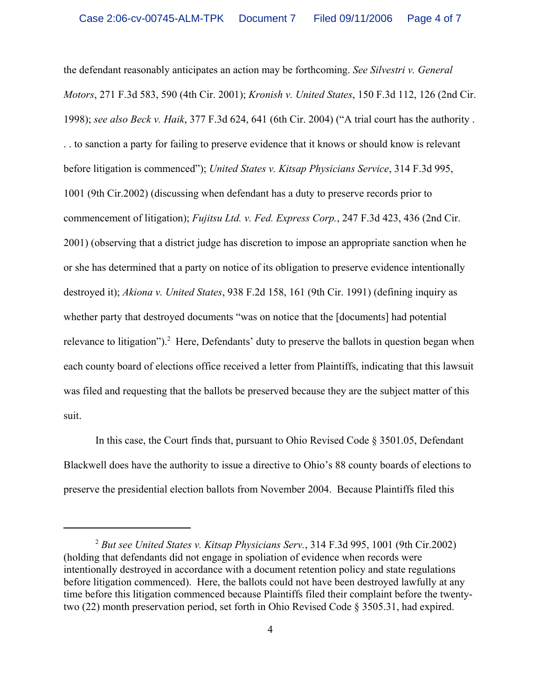the defendant reasonably anticipates an action may be forthcoming. *See Silvestri v. General Motors*, 271 F.3d 583, 590 (4th Cir. 2001); *Kronish v. United States*, 150 F.3d 112, 126 (2nd Cir. 1998); *see also Beck v. Haik*, 377 F.3d 624, 641 (6th Cir. 2004) ("A trial court has the authority . . . to sanction a party for failing to preserve evidence that it knows or should know is relevant before litigation is commenced"); *United States v. Kitsap Physicians Service*, 314 F.3d 995, 1001 (9th Cir.2002) (discussing when defendant has a duty to preserve records prior to commencement of litigation); *Fujitsu Ltd. v. Fed. Express Corp.*, 247 F.3d 423, 436 (2nd Cir. 2001) (observing that a district judge has discretion to impose an appropriate sanction when he or she has determined that a party on notice of its obligation to preserve evidence intentionally destroyed it); *Akiona v. United States*, 938 F.2d 158, 161 (9th Cir. 1991) (defining inquiry as whether party that destroyed documents "was on notice that the [documents] had potential relevance to litigation").<sup>2</sup> Here, Defendants' duty to preserve the ballots in question began when each county board of elections office received a letter from Plaintiffs, indicating that this lawsuit was filed and requesting that the ballots be preserved because they are the subject matter of this suit.

In this case, the Court finds that, pursuant to Ohio Revised Code  $\S 3501.05$ , Defendant Blackwell does have the authority to issue a directive to Ohio's 88 county boards of elections to preserve the presidential election ballots from November 2004. Because Plaintiffs filed this

<sup>2</sup> *But see United States v. Kitsap Physicians Serv.*, 314 F.3d 995, 1001 (9th Cir.2002) (holding that defendants did not engage in spoliation of evidence when records were intentionally destroyed in accordance with a document retention policy and state regulations before litigation commenced). Here, the ballots could not have been destroyed lawfully at any time before this litigation commenced because Plaintiffs filed their complaint before the twentytwo (22) month preservation period, set forth in Ohio Revised Code § 3505.31, had expired.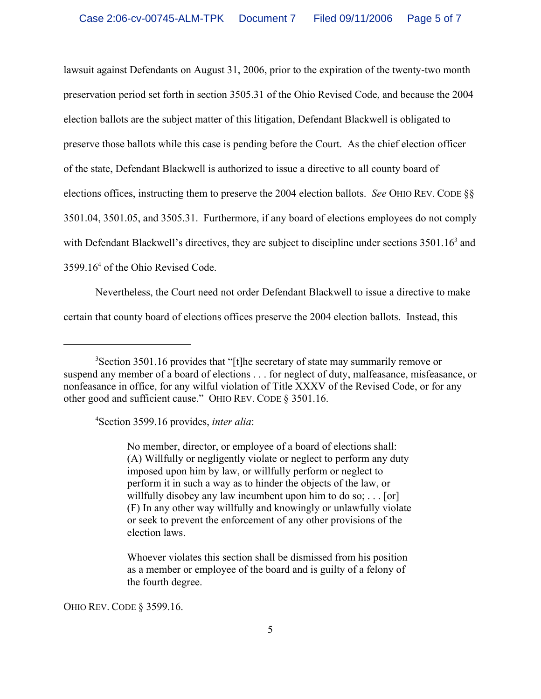lawsuit against Defendants on August 31, 2006, prior to the expiration of the twenty-two month preservation period set forth in section 3505.31 of the Ohio Revised Code, and because the 2004 election ballots are the subject matter of this litigation, Defendant Blackwell is obligated to preserve those ballots while this case is pending before the Court. As the chief election officer of the state, Defendant Blackwell is authorized to issue a directive to all county board of elections offices, instructing them to preserve the 2004 election ballots. *See* OHIO REV. CODE §§ 3501.04, 3501.05, and 3505.31. Furthermore, if any board of elections employees do not comply with Defendant Blackwell's directives, they are subject to discipline under sections 3501.16<sup>3</sup> and 3599.16<sup>4</sup> of the Ohio Revised Code.

Nevertheless, the Court need not order Defendant Blackwell to issue a directive to make certain that county board of elections offices preserve the 2004 election ballots. Instead, this

4 Section 3599.16 provides, *inter alia*:

No member, director, or employee of a board of elections shall: (A) Willfully or negligently violate or neglect to perform any duty imposed upon him by law, or willfully perform or neglect to perform it in such a way as to hinder the objects of the law, or willfully disobey any law incumbent upon him to do so;  $\dots$  [or] (F) In any other way willfully and knowingly or unlawfully violate or seek to prevent the enforcement of any other provisions of the election laws.

Whoever violates this section shall be dismissed from his position as a member or employee of the board and is guilty of a felony of the fourth degree.

OHIO REV. CODE § 3599.16.

<sup>&</sup>lt;sup>3</sup>Section 3501.16 provides that "[t]he secretary of state may summarily remove or suspend any member of a board of elections . . . for neglect of duty, malfeasance, misfeasance, or nonfeasance in office, for any wilful violation of Title XXXV of the Revised Code, or for any other good and sufficient cause." OHIO REV. CODE § 3501.16.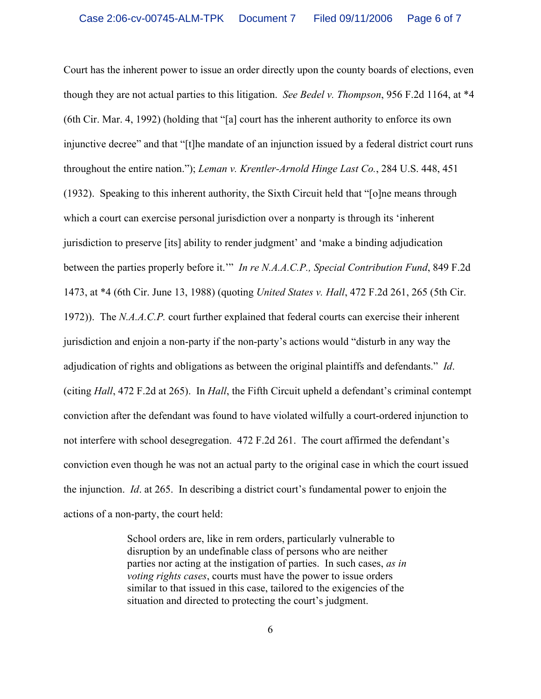Court has the inherent power to issue an order directly upon the county boards of elections, even though they are not actual parties to this litigation. *See Bedel v. Thompson*, 956 F.2d 1164, at \*4 (6th Cir. Mar. 4, 1992) (holding that "[a] court has the inherent authority to enforce its own injunctive decree" and that "[t]he mandate of an injunction issued by a federal district court runs throughout the entire nation."); *Leman v. Krentler-Arnold Hinge Last Co.*, 284 U.S. 448, 451 (1932). Speaking to this inherent authority, the Sixth Circuit held that "[o]ne means through which a court can exercise personal jurisdiction over a nonparty is through its 'inherent jurisdiction to preserve [its] ability to render judgment' and 'make a binding adjudication between the parties properly before it.'" *In re N.A.A.C.P., Special Contribution Fund*, 849 F.2d 1473, at \*4 (6th Cir. June 13, 1988) (quoting *United States v. Hall*, 472 F.2d 261, 265 (5th Cir. 1972)). The *N.A.A.C.P.* court further explained that federal courts can exercise their inherent jurisdiction and enjoin a non-party if the non-party's actions would "disturb in any way the adjudication of rights and obligations as between the original plaintiffs and defendants." *Id*. (citing *Hall*, 472 F.2d at 265). In *Hall*, the Fifth Circuit upheld a defendant's criminal contempt conviction after the defendant was found to have violated wilfully a court-ordered injunction to not interfere with school desegregation. 472 F.2d 261. The court affirmed the defendant's conviction even though he was not an actual party to the original case in which the court issued the injunction. *Id*. at 265. In describing a district court's fundamental power to enjoin the actions of a non-party, the court held:

> School orders are, like in rem orders, particularly vulnerable to disruption by an undefinable class of persons who are neither parties nor acting at the instigation of parties. In such cases, *as in voting rights cases*, courts must have the power to issue orders similar to that issued in this case, tailored to the exigencies of the situation and directed to protecting the court's judgment.